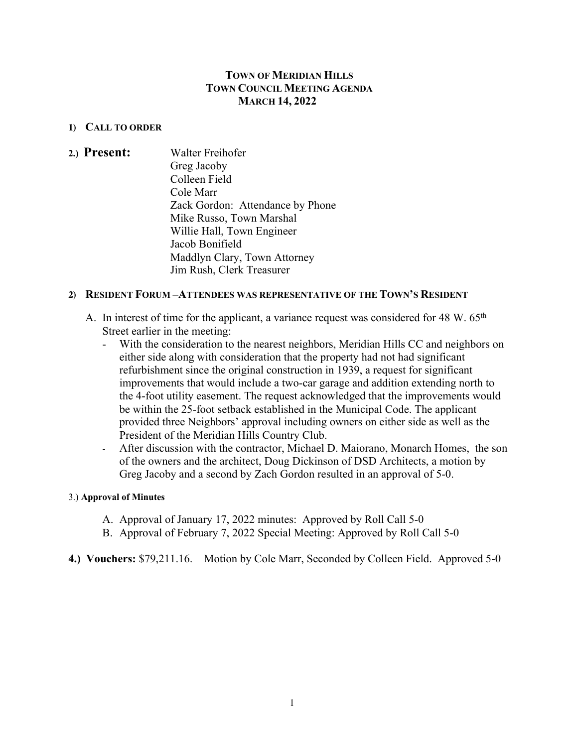# **TOWN OF MERIDIAN HILLS TOWN COUNCIL MEETING AGENDA MARCH 14, 2022**

## **1) CALL TO ORDER**

**2.) Present:** Walter Freihofer Greg Jacoby Colleen Field Cole Marr Zack Gordon: Attendance by Phone Mike Russo, Town Marshal Willie Hall, Town Engineer Jacob Bonifield Maddlyn Clary, Town Attorney Jim Rush, Clerk Treasurer

### **2) RESIDENT FORUM –ATTENDEES WAS REPRESENTATIVE OF THE TOWN'S RESIDENT**

- A. In interest of time for the applicant, a variance request was considered for 48 W. 65<sup>th</sup> Street earlier in the meeting:
	- With the consideration to the nearest neighbors, Meridian Hills CC and neighbors on either side along with consideration that the property had not had significant refurbishment since the original construction in 1939, a request for significant improvements that would include a two-car garage and addition extending north to the 4-foot utility easement. The request acknowledged that the improvements would be within the 25-foot setback established in the Municipal Code. The applicant provided three Neighbors' approval including owners on either side as well as the President of the Meridian Hills Country Club.
	- After discussion with the contractor, Michael D. Maiorano, Monarch Homes, the son of the owners and the architect, Doug Dickinson of DSD Architects, a motion by Greg Jacoby and a second by Zach Gordon resulted in an approval of 5-0.

#### 3.) **Approval of Minutes**

- A. Approval of January 17, 2022 minutes: Approved by Roll Call 5-0
- B. Approval of February 7, 2022 Special Meeting: Approved by Roll Call 5-0
- **4.) Vouchers:** \$79,211.16. Motion by Cole Marr, Seconded by Colleen Field. Approved 5-0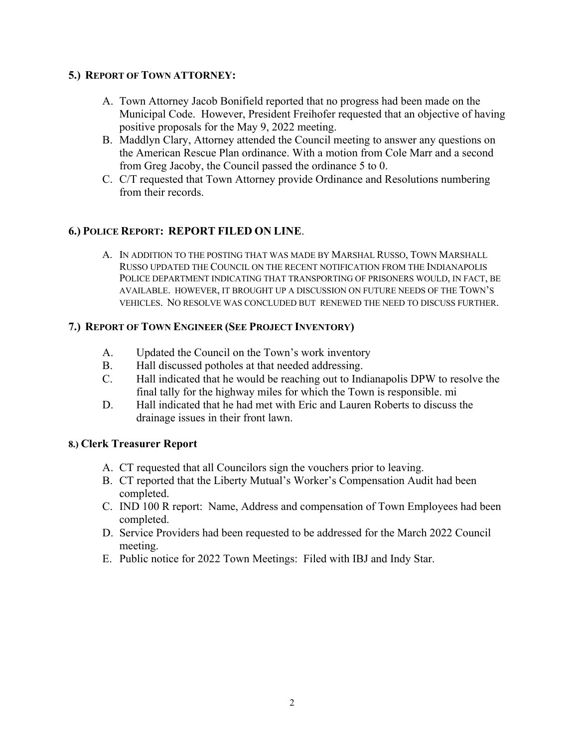# **5.) REPORT OF TOWN ATTORNEY:**

- A. Town Attorney Jacob Bonifield reported that no progress had been made on the Municipal Code. However, President Freihofer requested that an objective of having positive proposals for the May 9, 2022 meeting.
- B. Maddlyn Clary, Attorney attended the Council meeting to answer any questions on the American Rescue Plan ordinance. With a motion from Cole Marr and a second from Greg Jacoby, the Council passed the ordinance 5 to 0.
- C. C/T requested that Town Attorney provide Ordinance and Resolutions numbering from their records.

# **6.) POLICE REPORT: REPORT FILED ON LINE**.

A. IN ADDITION TO THE POSTING THAT WAS MADE BY MARSHAL RUSSO, TOWN MARSHALL RUSSO UPDATED THE COUNCIL ON THE RECENT NOTIFICATION FROM THE INDIANAPOLIS POLICE DEPARTMENT INDICATING THAT TRANSPORTING OF PRISONERS WOULD, IN FACT, BE AVAILABLE. HOWEVER, IT BROUGHT UP A DISCUSSION ON FUTURE NEEDS OF THE TOWN'S VEHICLES. NO RESOLVE WAS CONCLUDED BUT RENEWED THE NEED TO DISCUSS FURTHER.

# **7.) REPORT OF TOWN ENGINEER (SEE PROJECT INVENTORY)**

- A. Updated the Council on the Town's work inventory
- B. Hall discussed potholes at that needed addressing.
- C. Hall indicated that he would be reaching out to Indianapolis DPW to resolve the final tally for the highway miles for which the Town is responsible. mi
- D. Hall indicated that he had met with Eric and Lauren Roberts to discuss the drainage issues in their front lawn.

### **8.) Clerk Treasurer Report**

- A. CT requested that all Councilors sign the vouchers prior to leaving.
- B. CT reported that the Liberty Mutual's Worker's Compensation Audit had been completed.
- C. IND 100 R report: Name, Address and compensation of Town Employees had been completed.
- D. Service Providers had been requested to be addressed for the March 2022 Council meeting.
- E. Public notice for 2022 Town Meetings: Filed with IBJ and Indy Star.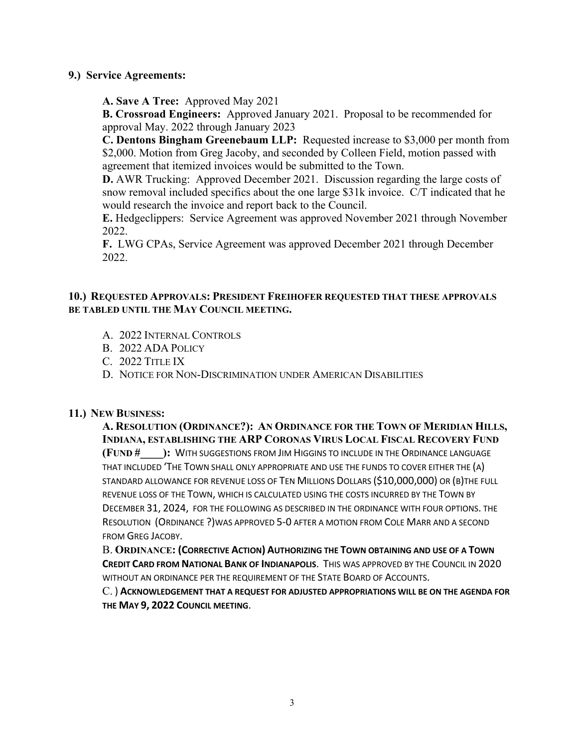## **9.) Service Agreements:**

**A. Save A Tree:** Approved May 2021

**B. Crossroad Engineers:** Approved January 2021. Proposal to be recommended for approval May. 2022 through January 2023

**C. Dentons Bingham Greenebaum LLP:** Requested increase to \$3,000 per month from \$2,000. Motion from Greg Jacoby, and seconded by Colleen Field, motion passed with agreement that itemized invoices would be submitted to the Town.

**D.** AWR Trucking: Approved December 2021. Discussion regarding the large costs of snow removal included specifics about the one large \$31k invoice. C/T indicated that he would research the invoice and report back to the Council.

**E.** Hedgeclippers: Service Agreement was approved November 2021 through November 2022.

**F.** LWG CPAs, Service Agreement was approved December 2021 through December 2022.

## **10.) REQUESTED APPROVALS: PRESIDENT FREIHOFER REQUESTED THAT THESE APPROVALS BE TABLED UNTIL THE MAY COUNCIL MEETING.**

- A. 2022 INTERNAL CONTROLS
- B. 2022 ADA POLICY
- C. 2022 TITLE IX
- D. NOTICE FOR NON-DISCRIMINATION UNDER AMERICAN DISABILITIES

### **11.) NEW BUSINESS:**

**A. RESOLUTION (ORDINANCE?): AN ORDINANCE FOR THE TOWN OF MERIDIAN HILLS, INDIANA, ESTABLISHING THE ARP CORONAS VIRUS LOCAL FISCAL RECOVERY FUND (FUND #\_\_\_\_):** WITH SUGGESTIONS FROM JIM HIGGINS TO INCLUDE IN THE ORDINANCE LANGUAGE THAT INCLUDED 'THE TOWN SHALL ONLY APPROPRIATE AND USE THE FUNDS TO COVER EITHER THE (A) STANDARD ALLOWANCE FOR REVENUE LOSS OF TEN MILLIONS DOLLARS (\$10,000,000) OR (B)THE FULL REVENUE LOSS OF THE TOWN, WHICH IS CALCULATED USING THE COSTS INCURRED BY THE TOWN BY DECEMBER 31, 2024, FOR THE FOLLOWING AS DESCRIBED IN THE ORDINANCE WITH FOUR OPTIONS. THE RESOLUTION (ORDINANCE ?)WAS APPROVED 5-0 AFTER A MOTION FROM COLE MARR AND A SECOND FROM GREG JACOBY.

B. **ORDINANCE: (CORRECTIVE ACTION) AUTHORIZING THE TOWN OBTAINING AND USE OF A TOWN CREDIT CARD FROM NATIONAL BANK OF INDIANAPOLIS**. THIS WAS APPROVED BY THE COUNCIL IN 2020 WITHOUT AN ORDINANCE PER THE REQUIREMENT OF THE STATE BOARD OF ACCOUNTS.

C. ) **ACKNOWLEDGEMENT THAT A REQUEST FOR ADJUSTED APPROPRIATIONS WILL BE ON THE AGENDA FOR THE MAY 9, 2022 COUNCIL MEETING**.